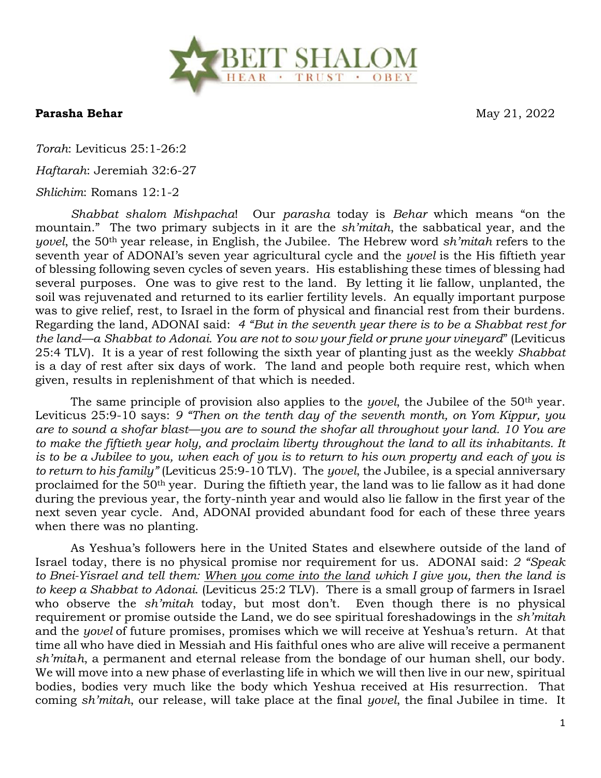

**Parasha Behar** May 21, 2022

*Torah*: Leviticus 25:1-26:2

*Haftarah*: Jeremiah 32:6-27

## *Shlichim*: Romans 12:1-2

*Shabbat shalom Mishpacha*! Our *parasha* today is *Behar* which means "on the mountain." The two primary subjects in it are the *sh'mitah*, the sabbatical year, and the *yovel*, the 50th year release, in English, the Jubilee. The Hebrew word *sh'mitah* refers to the seventh year of ADONAI's seven year agricultural cycle and the *yovel* is the His fiftieth year of blessing following seven cycles of seven years. His establishing these times of blessing had several purposes. One was to give rest to the land. By letting it lie fallow, unplanted, the soil was rejuvenated and returned to its earlier fertility levels. An equally important purpose was to give relief, rest, to Israel in the form of physical and financial rest from their burdens. Regarding the land, ADONAI said: *4 "But in the seventh year there is to be a Shabbat rest for the land—a Shabbat to Adonai. You are not to sow your field or prune your vineyard*" (Leviticus 25:4 TLV). It is a year of rest following the sixth year of planting just as the weekly *Shabbat* is a day of rest after six days of work. The land and people both require rest, which when given, results in replenishment of that which is needed.

The same principle of provision also applies to the *yovel*, the Jubilee of the 50th year. Leviticus 25:9-10 says: *9 "Then on the tenth day of the seventh month, on Yom Kippur, you are to sound a shofar blast—you are to sound the shofar all throughout your land. 10 You are to make the fiftieth year holy, and proclaim liberty throughout the land to all its inhabitants. It is to be a Jubilee to you, when each of you is to return to his own property and each of you is to return to his family"* (Leviticus 25:9-10 TLV). The *yovel*, the Jubilee, is a special anniversary proclaimed for the 50th year. During the fiftieth year, the land was to lie fallow as it had done during the previous year, the forty-ninth year and would also lie fallow in the first year of the next seven year cycle. And, ADONAI provided abundant food for each of these three years when there was no planting.

As Yeshua's followers here in the United States and elsewhere outside of the land of Israel today, there is no physical promise nor requirement for us. ADONAI said: *2 "Speak to Bnei-Yisrael and tell them: When you come into the land which I give you, then the land is to keep a Shabbat to Adonai*. (Leviticus 25:2 TLV). There is a small group of farmers in Israel who observe the *sh'mitah* today, but most don't. Even though there is no physical requirement or promise outside the Land, we do see spiritual foreshadowings in the *sh'mitah* and the *yovel* of future promises, promises which we will receive at Yeshua's return. At that time all who have died in Messiah and His faithful ones who are alive will receive a permanent *sh'mit*a*h*, a permanent and eternal release from the bondage of our human shell, our body. We will move into a new phase of everlasting life in which we will then live in our new, spiritual bodies, bodies very much like the body which Yeshua received at His resurrection. That coming *sh'mitah*, our release, will take place at the final *yovel*, the final Jubilee in time. It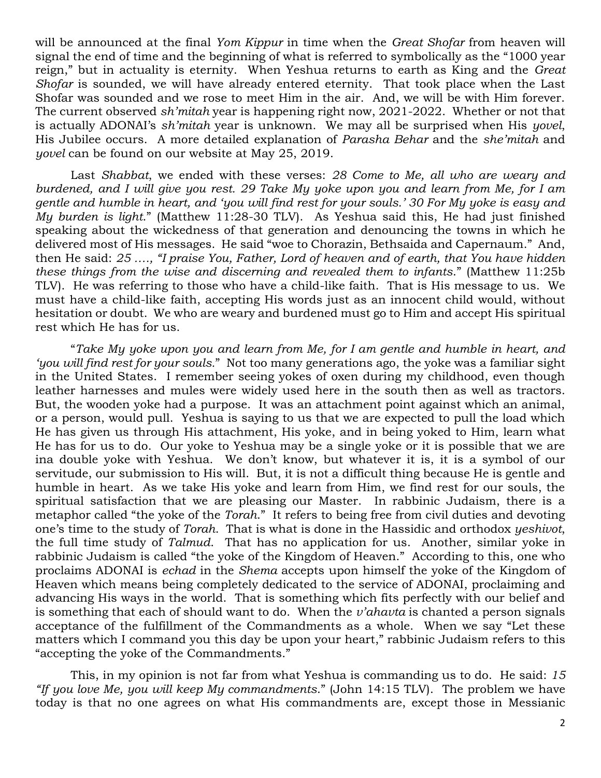will be announced at the final *Yom Kippur* in time when the *Great Shofar* from heaven will signal the end of time and the beginning of what is referred to symbolically as the "1000 year reign," but in actuality is eternity. When Yeshua returns to earth as King and the *Great Shofar* is sounded, we will have already entered eternity. That took place when the Last Shofar was sounded and we rose to meet Him in the air. And, we will be with Him forever. The current observed *sh'mitah* year is happening right now, 2021-2022. Whether or not that is actually ADONAI's *sh'mitah* year is unknown. We may all be surprised when His *yovel*, His Jubilee occurs. A more detailed explanation of *Parasha Behar* and the *she'mitah* and *yovel* can be found on our website at May 25, 2019.

Last *Shabbat*, we ended with these verses: *28 Come to Me, all who are weary and burdened, and I will give you rest. 29 Take My yoke upon you and learn from Me, for I am gentle and humble in heart, and 'you will find rest for your souls.' 30 For My yoke is easy and My burden is light*." (Matthew 11:28-30 TLV). As Yeshua said this, He had just finished speaking about the wickedness of that generation and denouncing the towns in which he delivered most of His messages. He said "woe to Chorazin, Bethsaida and Capernaum." And, then He said: *25 …., "I praise You, Father, Lord of heaven and of earth, that You have hidden these things from the wise and discerning and revealed them to infants*." (Matthew 11:25b TLV). He was referring to those who have a child-like faith. That is His message to us. We must have a child-like faith, accepting His words just as an innocent child would, without hesitation or doubt. We who are weary and burdened must go to Him and accept His spiritual rest which He has for us.

"*Take My yoke upon you and learn from Me, for I am gentle and humble in heart, and 'you will find rest for your souls.*" Not too many generations ago, the yoke was a familiar sight in the United States. I remember seeing yokes of oxen during my childhood, even though leather harnesses and mules were widely used here in the south then as well as tractors. But, the wooden yoke had a purpose. It was an attachment point against which an animal, or a person, would pull. Yeshua is saying to us that we are expected to pull the load which He has given us through His attachment, His yoke, and in being yoked to Him, learn what He has for us to do. Our yoke to Yeshua may be a single yoke or it is possible that we are ina double yoke with Yeshua. We don't know, but whatever it is, it is a symbol of our servitude, our submission to His will. But, it is not a difficult thing because He is gentle and humble in heart. As we take His yoke and learn from Him, we find rest for our souls, the spiritual satisfaction that we are pleasing our Master. In rabbinic Judaism, there is a metaphor called "the yoke of the *Torah*." It refers to being free from civil duties and devoting one's time to the study of *Torah*. That is what is done in the Hassidic and orthodox *yeshivot*, the full time study of *Talmud*. That has no application for us. Another, similar yoke in rabbinic Judaism is called "the yoke of the Kingdom of Heaven." According to this, one who proclaims ADONAI is *echad* in the *Shema* accepts upon himself the yoke of the Kingdom of Heaven which means being completely dedicated to the service of ADONAI, proclaiming and advancing His ways in the world. That is something which fits perfectly with our belief and is something that each of should want to do. When the *v'ahavta* is chanted a person signals acceptance of the fulfillment of the Commandments as a whole. When we say "Let these matters which I command you this day be upon your heart," rabbinic Judaism refers to this "accepting the yoke of the Commandments."

This, in my opinion is not far from what Yeshua is commanding us to do. He said: *15 "If you love Me, you will keep My commandments*." (John 14:15 TLV). The problem we have today is that no one agrees on what His commandments are, except those in Messianic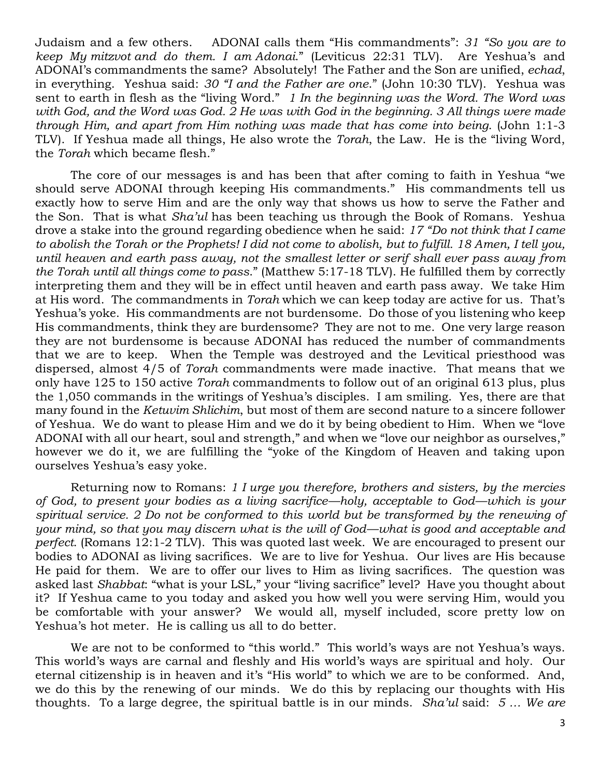Judaism and a few others. ADONAI calls them "His commandments": *31 "So you are to keep My mitzvot and do them. I am Adonai*." (Leviticus 22:31 TLV). Are Yeshua's and ADONAI's commandments the same? Absolutely! The Father and the Son are unified, *echad*, in everything. Yeshua said: *30 "I and the Father are one*." (John 10:30 TLV). Yeshua was sent to earth in flesh as the "living Word." *1 In the beginning was the Word. The Word was with God, and the Word was God. 2 He was with God in the beginning. 3 All things were made through Him, and apart from Him nothing was made that has come into being*. (John 1:1-3 TLV). If Yeshua made all things, He also wrote the *Torah*, the Law. He is the "living Word, the *Torah* which became flesh."

The core of our messages is and has been that after coming to faith in Yeshua "we should serve ADONAI through keeping His commandments." His commandments tell us exactly how to serve Him and are the only way that shows us how to serve the Father and the Son. That is what *Sha'ul* has been teaching us through the Book of Romans. Yeshua drove a stake into the ground regarding obedience when he said: *17 "Do not think that I came to abolish the Torah or the Prophets! I did not come to abolish, but to fulfill. 18 Amen, I tell you, until heaven and earth pass away, not the smallest letter or serif shall ever pass away from the Torah until all things come to pass*." (Matthew 5:17-18 TLV). He fulfilled them by correctly interpreting them and they will be in effect until heaven and earth pass away. We take Him at His word. The commandments in *Torah* which we can keep today are active for us. That's Yeshua's yoke. His commandments are not burdensome. Do those of you listening who keep His commandments, think they are burdensome? They are not to me. One very large reason they are not burdensome is because ADONAI has reduced the number of commandments that we are to keep. When the Temple was destroyed and the Levitical priesthood was dispersed, almost 4/5 of *Torah* commandments were made inactive. That means that we only have 125 to 150 active *Torah* commandments to follow out of an original 613 plus, plus the 1,050 commands in the writings of Yeshua's disciples. I am smiling. Yes, there are that many found in the *Ketuvim Shlichim*, but most of them are second nature to a sincere follower of Yeshua. We do want to please Him and we do it by being obedient to Him. When we "love ADONAI with all our heart, soul and strength," and when we "love our neighbor as ourselves," however we do it, we are fulfilling the "yoke of the Kingdom of Heaven and taking upon ourselves Yeshua's easy yoke.

Returning now to Romans: *1 I urge you therefore, brothers and sisters, by the mercies of God, to present your bodies as a living sacrifice—holy, acceptable to God—which is your*  spiritual service. 2 Do not be conformed to this world but be transformed by the renewing of *your mind, so that you may discern what is the will of God—what is good and acceptable and perfect*. (Romans 12:1-2 TLV). This was quoted last week. We are encouraged to present our bodies to ADONAI as living sacrifices. We are to live for Yeshua. Our lives are His because He paid for them. We are to offer our lives to Him as living sacrifices. The question was asked last *Shabbat*: "what is your LSL," your "living sacrifice" level? Have you thought about it? If Yeshua came to you today and asked you how well you were serving Him, would you be comfortable with your answer? We would all, myself included, score pretty low on Yeshua's hot meter. He is calling us all to do better.

We are not to be conformed to "this world." This world's ways are not Yeshua's ways. This world's ways are carnal and fleshly and His world's ways are spiritual and holy. Our eternal citizenship is in heaven and it's "His world" to which we are to be conformed. And, we do this by the renewing of our minds. We do this by replacing our thoughts with His thoughts. To a large degree, the spiritual battle is in our minds. *Sha'ul* said: *5 … We are*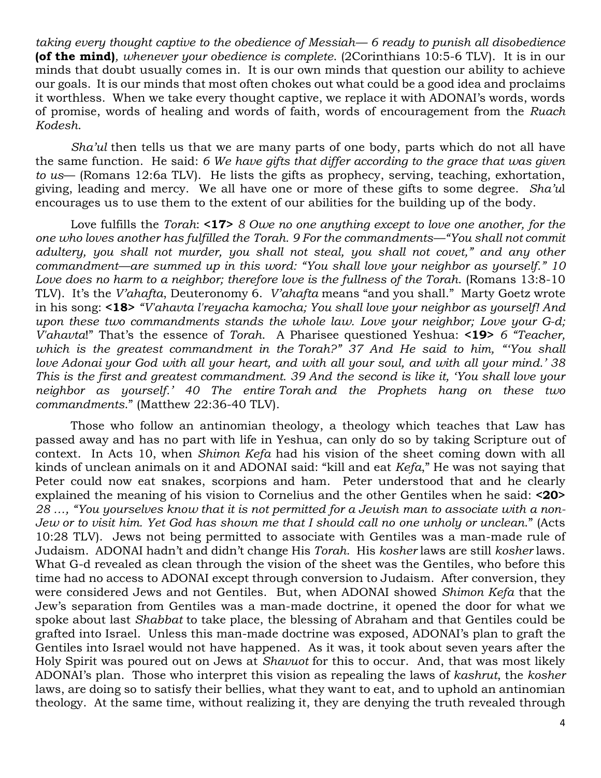*taking every thought captive to the obedience of Messiah— 6 ready to punish all disobedience*  **(of the mind)***, whenever your obedience is complete*. (2Corinthians 10:5-6 TLV). It is in our minds that doubt usually comes in. It is our own minds that question our ability to achieve our goals. It is our minds that most often chokes out what could be a good idea and proclaims it worthless. When we take every thought captive, we replace it with ADONAI's words, words of promise, words of healing and words of faith, words of encouragement from the *Ruach Kodesh*.

*Sha'ul* then tells us that we are many parts of one body, parts which do not all have the same function. He said: *6 We have gifts that differ according to the grace that was given to us*— (Romans 12:6a TLV). He lists the gifts as prophecy, serving, teaching, exhortation, giving, leading and mercy. We all have one or more of these gifts to some degree. *Sha'u*l encourages us to use them to the extent of our abilities for the building up of the body.

Love fulfills the *Torah*: **<17>** *8 Owe no one anything except to love one another, for the one who loves another has fulfilled the Torah. 9 For the commandments—"You shall not commit adultery, you shall not murder, you shall not steal, you shall not covet," and any other commandment—are summed up in this word: "You shall love your neighbor as yourself." 10 Love does no harm to a neighbor; therefore love is the fullness of the Torah*. (Romans 13:8-10 TLV). It's the *V'ahafta*, Deuteronomy 6. *V'ahafta* means "and you shall." Marty Goetz wrote in his song: **<18>** *"V'ahavta l'reyacha kamocha; You shall love your neighbor as yourself! And upon these two commandments stands the whole law. Love your neighbor; Love your G-d; V'ahavta*!" That's the essence of *Torah*. A Pharisee questioned Yeshua: **<19>** *6 "Teacher, which is the greatest commandment in the Torah?" 37 And He said to him, "'You shall love Adonai your God with all your heart, and with all your soul, and with all your mind.' 38 This is the first and greatest commandment. 39 And the second is like it, 'You shall love your neighbor as yourself.' 40 The entire Torah and the Prophets hang on these two commandments*." (Matthew 22:36-40 TLV).

Those who follow an antinomian theology, a theology which teaches that Law has passed away and has no part with life in Yeshua, can only do so by taking Scripture out of context. In Acts 10, when *Shimon Kefa* had his vision of the sheet coming down with all kinds of unclean animals on it and ADONAI said: "kill and eat *Kefa*," He was not saying that Peter could now eat snakes, scorpions and ham. Peter understood that and he clearly explained the meaning of his vision to Cornelius and the other Gentiles when he said: **<20>** *28 …, "You yourselves know that it is not permitted for a Jewish man to associate with a non-Jew or to visit him. Yet God has shown me that I should call no one unholy or unclean*." (Acts 10:28 TLV). Jews not being permitted to associate with Gentiles was a man-made rule of Judaism. ADONAI hadn't and didn't change His *Torah*. His *kosher* laws are still *kosher* laws. What G-d revealed as clean through the vision of the sheet was the Gentiles, who before this time had no access to ADONAI except through conversion to Judaism. After conversion, they were considered Jews and not Gentiles. But, when ADONAI showed *Shimon Kefa* that the Jew's separation from Gentiles was a man-made doctrine, it opened the door for what we spoke about last *Shabbat* to take place, the blessing of Abraham and that Gentiles could be grafted into Israel. Unless this man-made doctrine was exposed, ADONAI's plan to graft the Gentiles into Israel would not have happened. As it was, it took about seven years after the Holy Spirit was poured out on Jews at *Shavuot* for this to occur. And, that was most likely ADONAI's plan. Those who interpret this vision as repealing the laws of *kashrut*, the *kosher* laws, are doing so to satisfy their bellies, what they want to eat, and to uphold an antinomian theology. At the same time, without realizing it, they are denying the truth revealed through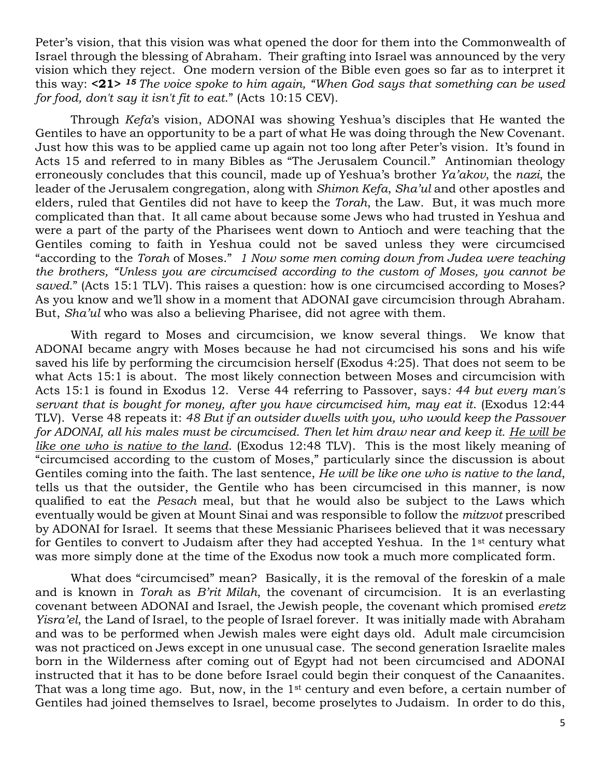Peter's vision, that this vision was what opened the door for them into the Commonwealth of Israel through the blessing of Abraham. Their grafting into Israel was announced by the very vision which they reject. One modern version of the Bible even goes so far as to interpret it this way: **<21>** *<sup>15</sup> The voice spoke to him again, "When God says that something can be used for food, don't say it isn't fit to eat*." (Acts 10:15 CEV).

Through *Kefa*'s vision, ADONAI was showing Yeshua's disciples that He wanted the Gentiles to have an opportunity to be a part of what He was doing through the New Covenant. Just how this was to be applied came up again not too long after Peter's vision. It's found in Acts 15 and referred to in many Bibles as "The Jerusalem Council." Antinomian theology erroneously concludes that this council, made up of Yeshua's brother *Ya'akov*, the *nazi*, the leader of the Jerusalem congregation, along with *Shimon Kefa*, *Sha'ul* and other apostles and elders, ruled that Gentiles did not have to keep the *Torah*, the Law. But, it was much more complicated than that. It all came about because some Jews who had trusted in Yeshua and were a part of the party of the Pharisees went down to Antioch and were teaching that the Gentiles coming to faith in Yeshua could not be saved unless they were circumcised "according to the *Torah* of Moses." *1 Now some men coming down from Judea were teaching the brothers, "Unless you are circumcised according to the custom of Moses, you cannot be*  saved." (Acts 15:1 TLV). This raises a question: how is one circumcised according to Moses? As you know and we'll show in a moment that ADONAI gave circumcision through Abraham. But, *Sha'ul* who was also a believing Pharisee, did not agree with them.

With regard to Moses and circumcision, we know several things. We know that ADONAI became angry with Moses because he had not circumcised his sons and his wife saved his life by performing the circumcision herself (Exodus 4:25). That does not seem to be what Acts 15:1 is about. The most likely connection between Moses and circumcision with Acts 15:1 is found in Exodus 12. Verse 44 referring to Passover, says*: 44 but every man's servant that is bought for money, after you have circumcised him, may eat it*. (Exodus 12:44 TLV). Verse 48 repeats it: *48 But if an outsider dwells with you, who would keep the Passover for ADONAI, all his males must be circumcised. Then let him draw near and keep it. He will be like one who is native to the land*. (Exodus 12:48 TLV). This is the most likely meaning of "circumcised according to the custom of Moses," particularly since the discussion is about Gentiles coming into the faith. The last sentence, *He will be like one who is native to the land*, tells us that the outsider, the Gentile who has been circumcised in this manner, is now qualified to eat the *Pesach* meal, but that he would also be subject to the Laws which eventually would be given at Mount Sinai and was responsible to follow the *mitzvot* prescribed by ADONAI for Israel. It seems that these Messianic Pharisees believed that it was necessary for Gentiles to convert to Judaism after they had accepted Yeshua. In the 1st century what was more simply done at the time of the Exodus now took a much more complicated form.

What does "circumcised" mean? Basically, it is the removal of the foreskin of a male and is known in *Torah* as *B'rit Milah*, the covenant of circumcision. It is an everlasting covenant between ADONAI and Israel, the Jewish people, the covenant which promised *eretz Yisra'el*, the Land of Israel, to the people of Israel forever. It was initially made with Abraham and was to be performed when Jewish males were eight days old. Adult male circumcision was not practiced on Jews except in one unusual case. The second generation Israelite males born in the Wilderness after coming out of Egypt had not been circumcised and ADONAI instructed that it has to be done before Israel could begin their conquest of the Canaanites. That was a long time ago. But, now, in the 1<sup>st</sup> century and even before, a certain number of Gentiles had joined themselves to Israel, become proselytes to Judaism. In order to do this,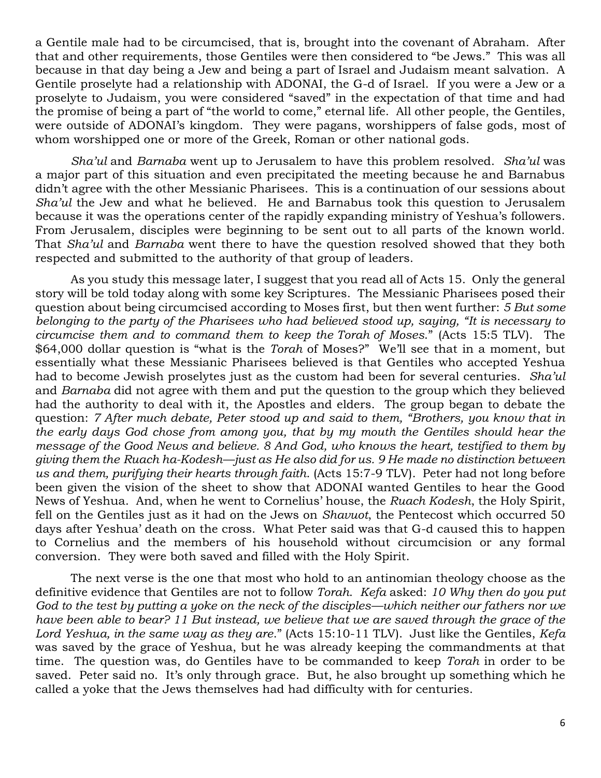a Gentile male had to be circumcised, that is, brought into the covenant of Abraham. After that and other requirements, those Gentiles were then considered to "be Jews." This was all because in that day being a Jew and being a part of Israel and Judaism meant salvation. A Gentile proselyte had a relationship with ADONAI, the G-d of Israel. If you were a Jew or a proselyte to Judaism, you were considered "saved" in the expectation of that time and had the promise of being a part of "the world to come," eternal life. All other people, the Gentiles, were outside of ADONAI's kingdom. They were pagans, worshippers of false gods, most of whom worshipped one or more of the Greek, Roman or other national gods.

*Sha'ul* and *Barnaba* went up to Jerusalem to have this problem resolved. *Sha'ul* was a major part of this situation and even precipitated the meeting because he and Barnabus didn't agree with the other Messianic Pharisees. This is a continuation of our sessions about *Sha'ul* the Jew and what he believed. He and Barnabus took this question to Jerusalem because it was the operations center of the rapidly expanding ministry of Yeshua's followers. From Jerusalem, disciples were beginning to be sent out to all parts of the known world. That *Sha'ul* and *Barnaba* went there to have the question resolved showed that they both respected and submitted to the authority of that group of leaders.

As you study this message later, I suggest that you read all of Acts 15. Only the general story will be told today along with some key Scriptures. The Messianic Pharisees posed their question about being circumcised according to Moses first, but then went further: *5 But some belonging to the party of the Pharisees who had believed stood up, saying, "It is necessary to circumcise them and to command them to keep the Torah of Moses*." (Acts 15:5 TLV). The \$64,000 dollar question is "what is the *Torah* of Moses?" We'll see that in a moment, but essentially what these Messianic Pharisees believed is that Gentiles who accepted Yeshua had to become Jewish proselytes just as the custom had been for several centuries. *Sha'ul* and *Barnaba* did not agree with them and put the question to the group which they believed had the authority to deal with it, the Apostles and elders. The group began to debate the question: *7 After much debate, Peter stood up and said to them, "Brothers, you know that in the early days God chose from among you, that by my mouth the Gentiles should hear the message of the Good News and believe. 8 And God, who knows the heart, testified to them by giving them the Ruach ha-Kodesh—just as He also did for us. 9 He made no distinction between us and them, purifying their hearts through faith*. (Acts 15:7-9 TLV). Peter had not long before been given the vision of the sheet to show that ADONAI wanted Gentiles to hear the Good News of Yeshua. And, when he went to Cornelius' house, the *Ruach Kodesh*, the Holy Spirit, fell on the Gentiles just as it had on the Jews on *Shavuot*, the Pentecost which occurred 50 days after Yeshua' death on the cross. What Peter said was that G-d caused this to happen to Cornelius and the members of his household without circumcision or any formal conversion. They were both saved and filled with the Holy Spirit.

The next verse is the one that most who hold to an antinomian theology choose as the definitive evidence that Gentiles are not to follow *Torah*. *Kefa* asked: *10 Why then do you put God to the test by putting a yoke on the neck of the disciples—which neither our fathers nor we have been able to bear? 11 But instead, we believe that we are saved through the grace of the Lord Yeshua, in the same way as they are*." (Acts 15:10-11 TLV). Just like the Gentiles, *Kefa* was saved by the grace of Yeshua, but he was already keeping the commandments at that time. The question was, do Gentiles have to be commanded to keep *Torah* in order to be saved. Peter said no. It's only through grace. But, he also brought up something which he called a yoke that the Jews themselves had had difficulty with for centuries.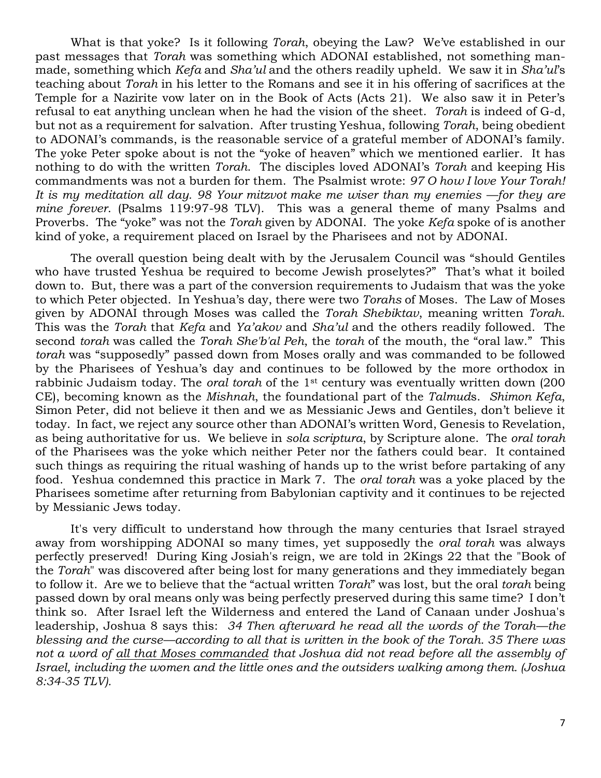What is that yoke? Is it following *Torah*, obeying the Law? We've established in our past messages that *Torah* was something which ADONAI established, not something manmade, something which *Kefa* and *Sha'ul* and the others readily upheld. We saw it in *Sha'ul*'s teaching about *Torah* in his letter to the Romans and see it in his offering of sacrifices at the Temple for a Nazirite vow later on in the Book of Acts (Acts 21). We also saw it in Peter's refusal to eat anything unclean when he had the vision of the sheet. *Torah* is indeed of G-d, but not as a requirement for salvation. After trusting Yeshua, following *Torah*, being obedient to ADONAI's commands, is the reasonable service of a grateful member of ADONAI's family. The yoke Peter spoke about is not the "yoke of heaven" which we mentioned earlier. It has nothing to do with the written *Torah*. The disciples loved ADONAI's *Torah* and keeping His commandments was not a burden for them. The Psalmist wrote: *97 O how I love Your Torah! It is my meditation all day. 98 Your mitzvot make me wiser than my enemies —for they are mine forever*. (Psalms 119:97-98 TLV). This was a general theme of many Psalms and Proverbs. The "yoke" was not the *Torah* given by ADONAI. The yoke *Kefa* spoke of is another kind of yoke, a requirement placed on Israel by the Pharisees and not by ADONAI.

The overall question being dealt with by the Jerusalem Council was "should Gentiles who have trusted Yeshua be required to become Jewish proselytes?" That's what it boiled down to. But, there was a part of the conversion requirements to Judaism that was the yoke to which Peter objected. In Yeshua's day, there were two *Torahs* of Moses. The Law of Moses given by ADONAI through Moses was called the *Torah Shebiktav*, meaning written *Torah*. This was the *Torah* that *Kefa* and *Ya'akov* and *Sha'ul* and the others readily followed. The second *torah* was called the *Torah She'b'al Peh*, the *torah* of the mouth, the "oral law." This *torah* was "supposedly" passed down from Moses orally and was commanded to be followed by the Pharisees of Yeshua's day and continues to be followed by the more orthodox in rabbinic Judaism today. The *oral torah* of the 1st century was eventually written down (200 CE), becoming known as the *Mishnah*, the foundational part of the *Talmud*s. *Shimon Kefa*, Simon Peter, did not believe it then and we as Messianic Jews and Gentiles, don't believe it today. In fact, we reject any source other than ADONAI's written Word, Genesis to Revelation, as being authoritative for us. We believe in *sola scriptura*, by Scripture alone. The *oral torah* of the Pharisees was the yoke which neither Peter nor the fathers could bear. It contained such things as requiring the ritual washing of hands up to the wrist before partaking of any food. Yeshua condemned this practice in Mark 7. The *oral torah* was a yoke placed by the Pharisees sometime after returning from Babylonian captivity and it continues to be rejected by Messianic Jews today.

It's very difficult to understand how through the many centuries that Israel strayed away from worshipping ADONAI so many times, yet supposedly the *oral torah* was always perfectly preserved! During King Josiah's reign, we are told in 2Kings 22 that the "Book of the *Torah*" was discovered after being lost for many generations and they immediately began to follow it. Are we to believe that the "actual written *Torah*" was lost, but the oral *torah* being passed down by oral means only was being perfectly preserved during this same time? I don't think so. After Israel left the Wilderness and entered the Land of Canaan under Joshua's leadership, Joshua 8 says this: *34 Then afterward he read all the words of the Torah—the blessing and the curse—according to all that is written in the book of the Torah. 35 There was not a word of all that Moses commanded that Joshua did not read before all the assembly of Israel, including the women and the little ones and the outsiders walking among them. (Joshua 8:34-35 TLV).*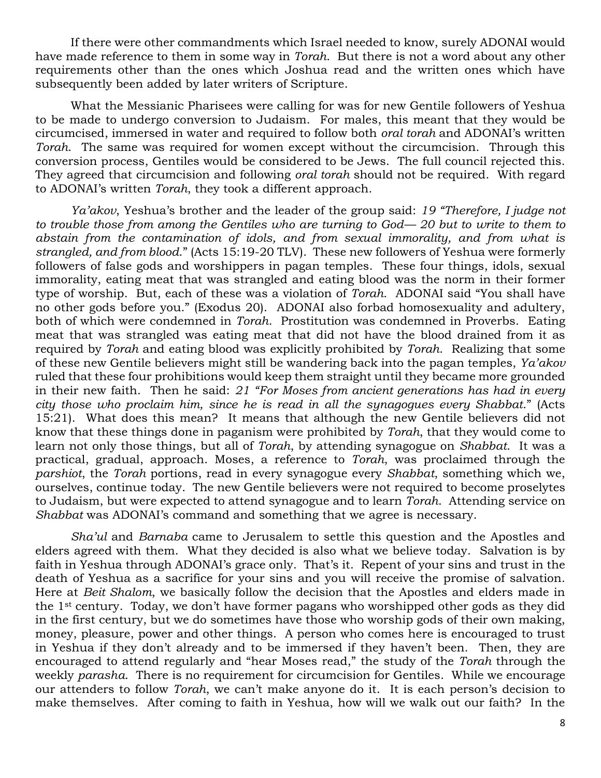If there were other commandments which Israel needed to know, surely ADONAI would have made reference to them in some way in *Torah*. But there is not a word about any other requirements other than the ones which Joshua read and the written ones which have subsequently been added by later writers of Scripture.

What the Messianic Pharisees were calling for was for new Gentile followers of Yeshua to be made to undergo conversion to Judaism. For males, this meant that they would be circumcised, immersed in water and required to follow both *oral torah* and ADONAI's written *Torah*. The same was required for women except without the circumcision. Through this conversion process, Gentiles would be considered to be Jews. The full council rejected this. They agreed that circumcision and following *oral torah* should not be required. With regard to ADONAI's written *Torah*, they took a different approach.

*Ya'akov*, Yeshua's brother and the leader of the group said: *19 "Therefore, I judge not to trouble those from among the Gentiles who are turning to God— 20 but to write to them to abstain from the contamination of idols, and from sexual immorality, and from what is strangled, and from blood*." (Acts 15:19-20 TLV). These new followers of Yeshua were formerly followers of false gods and worshippers in pagan temples. These four things, idols, sexual immorality, eating meat that was strangled and eating blood was the norm in their former type of worship. But, each of these was a violation of *Torah*. ADONAI said "You shall have no other gods before you." (Exodus 20). ADONAI also forbad homosexuality and adultery, both of which were condemned in *Torah*. Prostitution was condemned in Proverbs. Eating meat that was strangled was eating meat that did not have the blood drained from it as required by *Torah* and eating blood was explicitly prohibited by *Torah*. Realizing that some of these new Gentile believers might still be wandering back into the pagan temples, *Ya'akov* ruled that these four prohibitions would keep them straight until they became more grounded in their new faith. Then he said: *21 "For Moses from ancient generations has had in every city those who proclaim him, since he is read in all the synagogues every Shabbat*." (Acts 15:21). What does this mean? It means that although the new Gentile believers did not know that these things done in paganism were prohibited by *Torah*, that they would come to learn not only those things, but all of *Torah*, by attending synagogue on *Shabbat*. It was a practical, gradual, approach. Moses, a reference to *Torah*, was proclaimed through the *parshiot*, the *Torah* portions, read in every synagogue every *Shabbat*, something which we, ourselves, continue today. The new Gentile believers were not required to become proselytes to Judaism, but were expected to attend synagogue and to learn *Torah*. Attending service on *Shabbat* was ADONAI's command and something that we agree is necessary.

*Sha'ul* and *Barnaba* came to Jerusalem to settle this question and the Apostles and elders agreed with them. What they decided is also what we believe today. Salvation is by faith in Yeshua through ADONAI's grace only. That's it. Repent of your sins and trust in the death of Yeshua as a sacrifice for your sins and you will receive the promise of salvation. Here at *Beit Shalom*, we basically follow the decision that the Apostles and elders made in the 1st century. Today, we don't have former pagans who worshipped other gods as they did in the first century, but we do sometimes have those who worship gods of their own making, money, pleasure, power and other things. A person who comes here is encouraged to trust in Yeshua if they don't already and to be immersed if they haven't been. Then, they are encouraged to attend regularly and "hear Moses read," the study of the *Torah* through the weekly *parasha*. There is no requirement for circumcision for Gentiles. While we encourage our attenders to follow *Torah*, we can't make anyone do it. It is each person's decision to make themselves. After coming to faith in Yeshua, how will we walk out our faith? In the